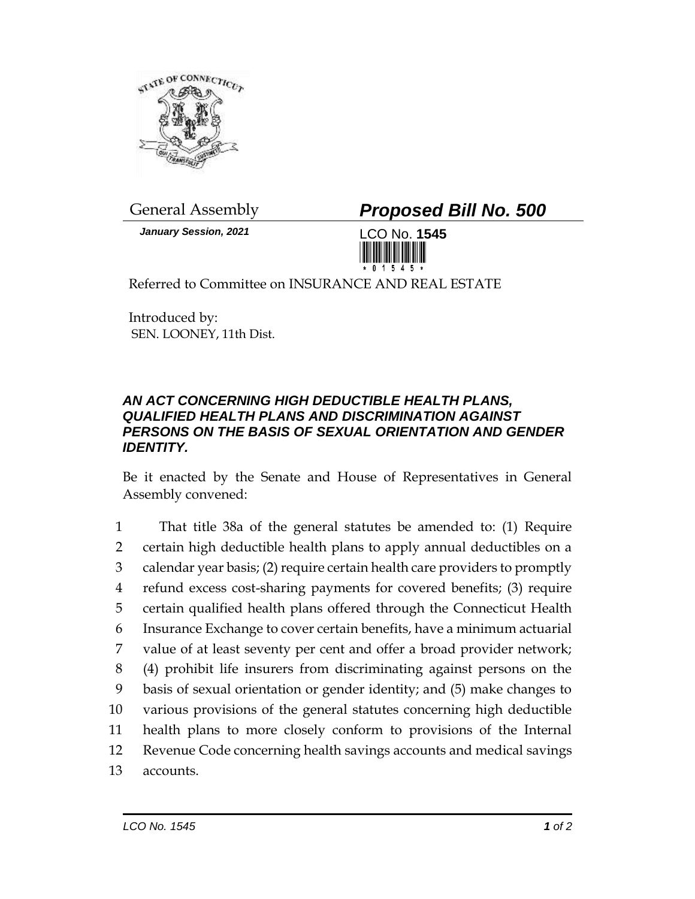

*January Session, 2021* LCO No. **1545**

General Assembly *Proposed Bill No. 500*



Referred to Committee on INSURANCE AND REAL ESTATE

Introduced by: SEN. LOONEY, 11th Dist.

## *AN ACT CONCERNING HIGH DEDUCTIBLE HEALTH PLANS, QUALIFIED HEALTH PLANS AND DISCRIMINATION AGAINST PERSONS ON THE BASIS OF SEXUAL ORIENTATION AND GENDER IDENTITY.*

Be it enacted by the Senate and House of Representatives in General Assembly convened:

 That title 38a of the general statutes be amended to: (1) Require certain high deductible health plans to apply annual deductibles on a calendar year basis; (2) require certain health care providers to promptly refund excess cost-sharing payments for covered benefits; (3) require certain qualified health plans offered through the Connecticut Health Insurance Exchange to cover certain benefits, have a minimum actuarial value of at least seventy per cent and offer a broad provider network; (4) prohibit life insurers from discriminating against persons on the basis of sexual orientation or gender identity; and (5) make changes to various provisions of the general statutes concerning high deductible health plans to more closely conform to provisions of the Internal Revenue Code concerning health savings accounts and medical savings 13 accounts.